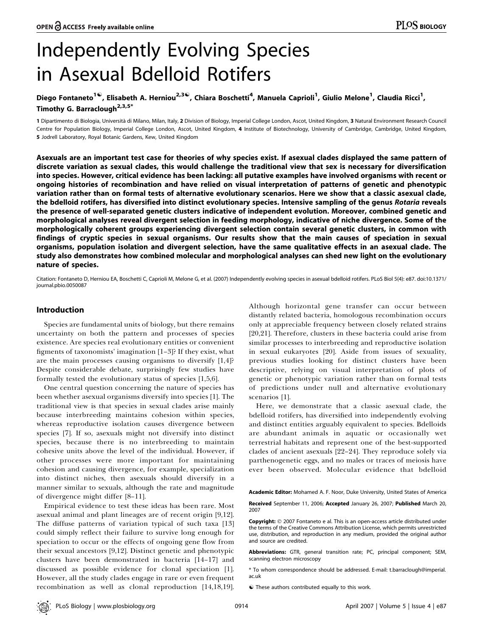# Independently Evolving Species in Asexual Bdelloid Rotifers

## Diego Fontaneto<sup>1©</sup>, Elisabeth A. Herniou<sup>2,3©</sup>, Chiara Boschetti<sup>4</sup>, Manuela Caprioli<sup>1</sup>, Giulio Melone<sup>1</sup>, Claudia Ricci<sup>1</sup>, Timothy G. Barraclough<sup>2,3,5\*</sup>

1 Dipartimento di Biologia, Università di Milano, Milan, Italy, 2 Division of Biology, Imperial College London, Ascot, United Kingdom, 3 Natural Environment Research Council Centre for Population Biology, Imperial College London, Ascot, United Kingdom, 4 Institute of Biotechnology, University of Cambridge, Cambridge, United Kingdom, 5 Jodrell Laboratory, Royal Botanic Gardens, Kew, United Kingdom

Asexuals are an important test case for theories of why species exist. If asexual clades displayed the same pattern of discrete variation as sexual clades, this would challenge the traditional view that sex is necessary for diversification into species. However, critical evidence has been lacking: all putative examples have involved organisms with recent or ongoing histories of recombination and have relied on visual interpretation of patterns of genetic and phenotypic variation rather than on formal tests of alternative evolutionary scenarios. Here we show that a classic asexual clade, the bdelloid rotifers, has diversified into distinct evolutionary species. Intensive sampling of the genus Rotaria reveals the presence of well-separated genetic clusters indicative of independent evolution. Moreover, combined genetic and morphological analyses reveal divergent selection in feeding morphology, indicative of niche divergence. Some of the morphologically coherent groups experiencing divergent selection contain several genetic clusters, in common with findings of cryptic species in sexual organisms. Our results show that the main causes of speciation in sexual organisms, population isolation and divergent selection, have the same qualitative effects in an asexual clade. The study also demonstrates how combined molecular and morphological analyses can shed new light on the evolutionary nature of species.

Citation: Fontaneto D, Herniou EA, Boschetti C, Caprioli M, Melone G, et al. (2007) Independently evolving species in asexual bdelloid rotifers. PLoS Biol 5(4): e87. doi:10.1371/ journal.pbio.0050087

### Introduction

Species are fundamental units of biology, but there remains uncertainty on both the pattern and processes of species existence. Are species real evolutionary entities or convenient figments of taxonomists' imagination [1–3]? If they exist, what are the main processes causing organisms to diversify [1,4]? Despite considerable debate, surprisingly few studies have formally tested the evolutionary status of species [1,5,6].

One central question concerning the nature of species has been whether asexual organisms diversify into species [1]. The traditional view is that species in sexual clades arise mainly because interbreeding maintains cohesion within species, whereas reproductive isolation causes divergence between species [7]. If so, asexuals might not diversify into distinct species, because there is no interbreeding to maintain cohesive units above the level of the individual. However, if other processes were more important for maintaining cohesion and causing divergence, for example, specialization into distinct niches, then asexuals should diversify in a manner similar to sexuals, although the rate and magnitude of divergence might differ [8–11].

Empirical evidence to test these ideas has been rare. Most asexual animal and plant lineages are of recent origin [9,12]. The diffuse patterns of variation typical of such taxa [13] could simply reflect their failure to survive long enough for speciation to occur or the effects of ongoing gene flow from their sexual ancestors [9,12]. Distinct genetic and phenotypic clusters have been demonstrated in bacteria [14–17] and discussed as possible evidence for clonal speciation [1]. However, all the study clades engage in rare or even frequent recombination as well as clonal reproduction [14,18,19].

Although horizontal gene transfer can occur between distantly related bacteria, homologous recombination occurs only at appreciable frequency between closely related strains [20,21]. Therefore, clusters in these bacteria could arise from similar processes to interbreeding and reproductive isolation in sexual eukaryotes [20]. Aside from issues of sexuality, previous studies looking for distinct clusters have been descriptive, relying on visual interpretation of plots of genetic or phenotypic variation rather than on formal tests of predictions under null and alternative evolutionary scenarios [1].

Here, we demonstrate that a classic asexual clade, the bdelloid rotifers, has diversified into independently evolving and distinct entities arguably equivalent to species. Bdelloids are abundant animals in aquatic or occasionally wet terrestrial habitats and represent one of the best-supported clades of ancient asexuals [22–24]. They reproduce solely via parthenogenetic eggs, and no males or traces of meiosis have ever been observed. Molecular evidence that bdelloid

Academic Editor: Mohamed A. F. Noor, Duke University, United States of America

Received September 11, 2006; Accepted January 26, 2007; Published March 20, 2007

Copyright: © 2007 Fontaneto e al. This is an open-access article distributed under the terms of the Creative Commons Attribution License, which permits unrestricted use, distribution, and reproduction in any medium, provided the original author and source are credited.

Abbreviations: GTR, general transition rate; PC, principal component; SEM, scanning electron microscopy

\* To whom correspondence should be addressed. E-mail: t.barraclough@imperial. ac.uk

 $\hat{\mathbf{v}}$  These authors contributed equally to this work.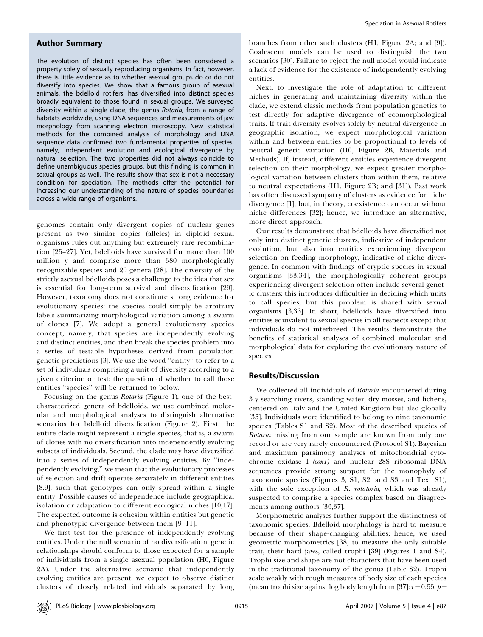## Author Summary

The evolution of distinct species has often been considered a property solely of sexually reproducing organisms. In fact, however, there is little evidence as to whether asexual groups do or do not diversify into species. We show that a famous group of asexual animals, the bdelloid rotifers, has diversified into distinct species broadly equivalent to those found in sexual groups. We surveyed diversity within a single clade, the genus Rotaria, from a range of habitats worldwide, using DNA sequences and measurements of jaw morphology from scanning electron microscopy. New statistical methods for the combined analysis of morphology and DNA sequence data confirmed two fundamental properties of species, namely, independent evolution and ecological divergence by natural selection. The two properties did not always coincide to define unambiguous species groups, but this finding is common in sexual groups as well. The results show that sex is not a necessary condition for speciation. The methods offer the potential for increasing our understanding of the nature of species boundaries across a wide range of organisms.

genomes contain only divergent copies of nuclear genes present as two similar copies (alleles) in diploid sexual organisms rules out anything but extremely rare recombination [25–27]. Yet, bdelloids have survived for more than 100 million y and comprise more than 380 morphologically recognizable species and 20 genera [28]. The diversity of the strictly asexual bdelloids poses a challenge to the idea that sex is essential for long-term survival and diversification [29]. However, taxonomy does not constitute strong evidence for evolutionary species: the species could simply be arbitrary labels summarizing morphological variation among a swarm of clones [7]. We adopt a general evolutionary species concept, namely, that species are independently evolving and distinct entities, and then break the species problem into a series of testable hypotheses derived from population genetic predictions [3]. We use the word ''entity'' to refer to a set of individuals comprising a unit of diversity according to a given criterion or test: the question of whether to call those entities ''species'' will be returned to below.

Focusing on the genus Rotaria (Figure 1), one of the bestcharacterized genera of bdelloids, we use combined molecular and morphological analyses to distinguish alternative scenarios for bdelloid diversification (Figure 2). First, the entire clade might represent a single species, that is, a swarm of clones with no diversification into independently evolving subsets of individuals. Second, the clade may have diversified into a series of independently evolving entities. By ''independently evolving,'' we mean that the evolutionary processes of selection and drift operate separately in different entities [8,9], such that genotypes can only spread within a single entity. Possible causes of independence include geographical isolation or adaptation to different ecological niches [10,17]. The expected outcome is cohesion within entities but genetic and phenotypic divergence between them [9–11].

We first test for the presence of independently evolving entities. Under the null scenario of no diversification, genetic relationships should conform to those expected for a sample of individuals from a single asexual population (H0, Figure 2A). Under the alternative scenario that independently evolving entities are present, we expect to observe distinct clusters of closely related individuals separated by long

branches from other such clusters (H1, Figure 2A; and [9]). Coalescent models can be used to distinguish the two scenarios [30]. Failure to reject the null model would indicate a lack of evidence for the existence of independently evolving entities.

Next, to investigate the role of adaptation to different niches in generating and maintaining diversity within the clade, we extend classic methods from population genetics to test directly for adaptive divergence of ecomorphological traits. If trait diversity evolves solely by neutral divergence in geographic isolation, we expect morphological variation within and between entities to be proportional to levels of neutral genetic variation (H0, Figure 2B, Materials and Methods). If, instead, different entities experience divergent selection on their morphology, we expect greater morphological variation between clusters than within them, relative to neutral expectations (H1, Figure 2B; and [31]). Past work has often discussed sympatry of clusters as evidence for niche divergence [1], but, in theory, coexistence can occur without niche differences [32]; hence, we introduce an alternative, more direct approach.

Our results demonstrate that bdelloids have diversified not only into distinct genetic clusters, indicative of independent evolution, but also into entities experiencing divergent selection on feeding morphology, indicative of niche divergence. In common with findings of cryptic species in sexual organisms [33,34], the morphologically coherent groups experiencing divergent selection often include several genetic clusters: this introduces difficulties in deciding which units to call species, but this problem is shared with sexual organisms [3,33]. In short, bdelloids have diversified into entities equivalent to sexual species in all respects except that individuals do not interbreed. The results demonstrate the benefits of statistical analyses of combined molecular and morphological data for exploring the evolutionary nature of species.

#### Results/Discussion

We collected all individuals of Rotaria encountered during 3 y searching rivers, standing water, dry mosses, and lichens, centered on Italy and the United Kingdom but also globally [35]. Individuals were identified to belong to nine taxonomic species (Tables S1 and S2). Most of the described species of Rotaria missing from our sample are known from only one record or are very rarely encountered (Protocol S1). Bayesian and maximum parsimony analyses of mitochondrial cytochrome oxidase I (cox1) and nuclear 28S ribosomal DNA sequences provide strong support for the monophyly of taxonomic species (Figures 3, S1, S2, and S3 and Text S1), with the sole exception of R. rotatoria, which was already suspected to comprise a species complex based on disagreements among authors [36,37].

Morphometric analyses further support the distinctness of taxonomic species. Bdelloid morphology is hard to measure because of their shape-changing abilities; hence, we used geometric morphometrics [38] to measure the only suitable trait, their hard jaws, called trophi [39] (Figures 1 and S4). Trophi size and shape are not characters that have been used in the traditional taxonomy of the genus (Table S2). Trophi scale weakly with rough measures of body size of each species (mean trophi size against log body length from [37]:  $r=0.55, p=$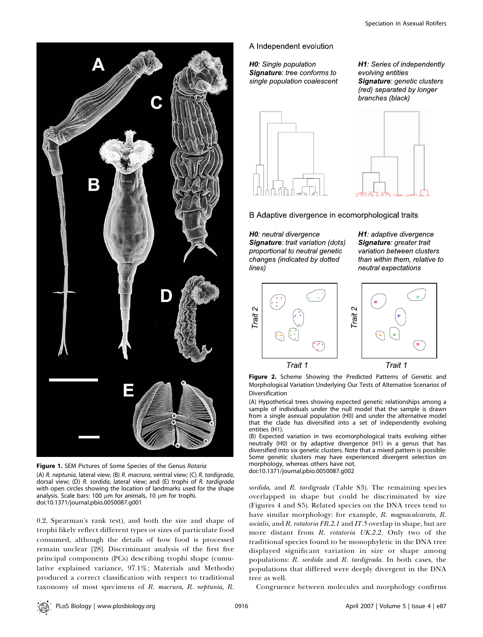

Figure 1. SEM Pictures of Some Species of the Genus Rotaria

(A) R. neptunia, lateral view; (B) R. macrura, ventral view; (C) R. tardigrada, dorsal view; (D) R. sordida, lateral view; and (E) trophi of R. tardigrada with open circles showing the location of landmarks used for the shape analysis. Scale bars: 100  $\mu$ m for animals, 10  $\mu$ m for trophi. doi:10.1371/journal.pbio.0050087.g001

0.2, Spearman's rank test), and both the size and shape of trophi likely reflect different types or sizes of particulate food consumed, although the details of how food is processed remain unclear [28]. Discriminant analysis of the first five principal components (PCs) describing trophi shape (cumulative explained variance, 97.1%; Materials and Methods) produced a correct classification with respect to traditional taxonomy of most specimens of R. macrura, R. neptunia, R.

## A Independent evolution

HO: Single population Signature: tree conforms to single population coalescent H1: Series of independently evolving entities Signature: genetic clusters (red) separated by longer branches (black)





B Adaptive divergence in ecomorphological traits

HO: neutral divergence Signature: trait variation (dots) proportional to neutral genetic changes (indicated by dotted lines)

H1: adaptive divergence Signature: greater trait variation between clusters than within them, relative to neutral expectations



Figure 2. Scheme Showing the Predicted Patterns of Genetic and Morphological Variation Underlying Our Tests of Alternative Scenarios of Diversification

(A) Hypothetical trees showing expected genetic relationships among a sample of individuals under the null model that the sample is drawn from a single asexual population (H0) and under the alternative model that the clade has diversified into a set of independently evolving entities (H1).

(B) Expected variation in two ecomorphological traits evolving either neutrally (H0) or by adaptive divergence (H1) in a genus that has diversified into six genetic clusters. Note that a mixed pattern is possible: Some genetic clusters may have experienced divergent selection on morphology, whereas others have not. doi:10.1371/journal.pbio.0050087.g002

sordida, and R. tardigrada (Table S3). The remaining species overlapped in shape but could be discriminated by size (Figures 4 and S5). Related species on the DNA trees tend to have similar morphology: for example, R. magnacalcarata, R. socialis, and R. rotatoria FR.2.1 and IT.5 overlap in shape, but are more distant from R. rotatoria UK.2.2. Only two of the traditional species found to be monophyletic in the DNA tree displayed significant variation in size or shape among populations: R. sordida and R. tardigrada. In both cases, the populations that differed were deeply divergent in the DNA tree as well.

Congruence between molecules and morphology confirms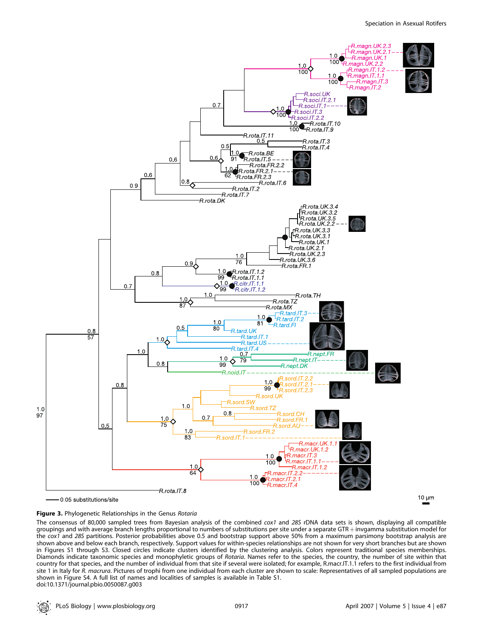

0.05 substitutions/site

### Figure 3. Phylogenetic Relationships in the Genus Rotaria

The consensus of 80,000 sampled trees from Bayesian analysis of the combined cox1 and 28S rDNA data sets is shown, displaying all compatible groupings and with average branch lengths proportional to numbers of substitutions per site under a separate GTR + invgamma substitution model for the cox1 and 28S partitions. Posterior probabilities above 0.5 and bootstrap support above 50% from a maximum parsimony bootstrap analysis are shown above and below each branch, respectively. Support values for within-species relationships are not shown for very short branches but are shown in Figures S1 through S3. Closed circles indicate clusters identified by the clustering analysis. Colors represent traditional species memberships. Diamonds indicate taxonomic species and monophyletic groups of Rotaria. Names refer to the species, the country, the number of site within that country for that species, and the number of individual from that site if several were isolated; for example, R.macr.IT.1.1 refers to the first individual from site 1 in Italy for R. macrura. Pictures of trophi from one individual from each cluster are shown to scale: Representatives of all sampled populations are shown in Figure S4. A full list of names and localities of samples is available in Table S1. doi:10.1371/journal.pbio.0050087.g003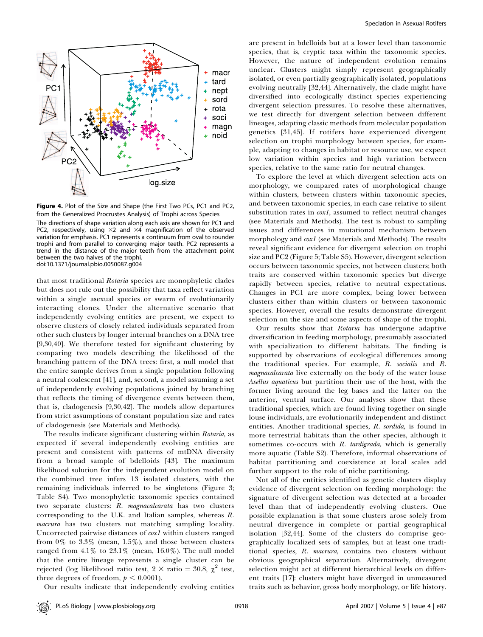

Figure 4. Plot of the Size and Shape (the First Two PCs, PC1 and PC2, from the Generalized Procrustes Analysis) of Trophi across Species The directions of shape variation along each axis are shown for PC1 and PC2, respectively, using  $\times 2$  and  $\times 4$  magnification of the observed variation for emphasis. PC1 represents a continuum from oval to rounder trophi and from parallel to converging major teeth. PC2 represents a trend in the distance of the major teeth from the attachment point between the two halves of the trophi. doi:10.1371/journal.pbio.0050087.g004

that most traditional Rotaria species are monophyletic clades but does not rule out the possibility that taxa reflect variation within a single asexual species or swarm of evolutionarily interacting clones. Under the alternative scenario that independently evolving entities are present, we expect to observe clusters of closely related individuals separated from other such clusters by longer internal branches on a DNA tree [9,30,40]. We therefore tested for significant clustering by comparing two models describing the likelihood of the branching pattern of the DNA trees: first, a null model that the entire sample derives from a single population following a neutral coalescent [41], and, second, a model assuming a set of independently evolving populations joined by branching that reflects the timing of divergence events between them, that is, cladogenesis [9,30,42]. The models allow departures from strict assumptions of constant population size and rates of cladogenesis (see Materials and Methods).

The results indicate significant clustering within Rotaria, as expected if several independently evolving entities are present and consistent with patterns of mtDNA diversity from a broad sample of bdelloids [43]. The maximum likelihood solution for the independent evolution model on the combined tree infers 13 isolated clusters, with the remaining individuals inferred to be singletons (Figure 3; Table S4). Two monophyletic taxonomic species contained two separate clusters: R. magnacalcarata has two clusters corresponding to the U.K. and Italian samples, whereas R. macrura has two clusters not matching sampling locality. Uncorrected pairwise distances of *cox1* within clusters ranged from  $0\%$  to  $3.3\%$  (mean,  $1.5\%$ ), and those between clusters ranged from  $4.1\%$  to  $23.1\%$  (mean,  $16.0\%$ ). The null model that the entire lineage represents a single cluster can be rejected (log likelihood ratio test,  $2 \times$  ratio = 30.8,  $\chi^2$  test, three degrees of freedom,  $p < 0.0001$ ).

are present in bdelloids but at a lower level than taxonomic species, that is, cryptic taxa within the taxonomic species. However, the nature of independent evolution remains unclear. Clusters might simply represent geographically isolated, or even partially geographically isolated, populations evolving neutrally [32,44]. Alternatively, the clade might have diversified into ecologically distinct species experiencing divergent selection pressures. To resolve these alternatives, we test directly for divergent selection between different lineages, adapting classic methods from molecular population genetics [31,45]. If rotifers have experienced divergent selection on trophi morphology between species, for example, adapting to changes in habitat or resource use, we expect low variation within species and high variation between species, relative to the same ratio for neutral changes.

To explore the level at which divergent selection acts on morphology, we compared rates of morphological change within clusters, between clusters within taxonomic species, and between taxonomic species, in each case relative to silent substitution rates in  $\cos 1$ , assumed to reflect neutral changes (see Materials and Methods). The test is robust to sampling issues and differences in mutational mechanism between morphology and cox1 (see Materials and Methods). The results reveal significant evidence for divergent selection on trophi size and PC2 (Figure 5; Table S5). However, divergent selection occurs between taxonomic species, not between clusters; both traits are conserved within taxonomic species but diverge rapidly between species, relative to neutral expectations. Changes in PC1 are more complex, being lower between clusters either than within clusters or between taxonomic species. However, overall the results demonstrate divergent selection on the size and some aspects of shape of the trophi.

Our results show that Rotaria has undergone adaptive diversification in feeding morphology, presumably associated with specialization to different habitats. The finding is supported by observations of ecological differences among the traditional species. For example, R. socialis and R. magnacalcarata live externally on the body of the water louse Asellus aquaticus but partition their use of the host, with the former living around the leg bases and the latter on the anterior, ventral surface. Our analyses show that these traditional species, which are found living together on single louse individuals, are evolutionarily independent and distinct entities. Another traditional species, R. sordida, is found in more terrestrial habitats than the other species, although it sometimes co-occurs with R. tardigrada, which is generally more aquatic (Table S2). Therefore, informal observations of habitat partitioning and coexistence at local scales add further support to the role of niche partitioning.

Not all of the entities identified as genetic clusters display evidence of divergent selection on feeding morphology: the signature of divergent selection was detected at a broader level than that of independently evolving clusters. One possible explanation is that some clusters arose solely from neutral divergence in complete or partial geographical isolation [32,44]. Some of the clusters do comprise geographically localized sets of samples, but at least one traditional species, R. macrura, contains two clusters without obvious geographical separation. Alternatively, divergent selection might act at different hierarchical levels on different traits [17]: clusters might have diverged in unmeasured traits such as behavior, gross body morphology, or life history.

Our results indicate that independently evolving entities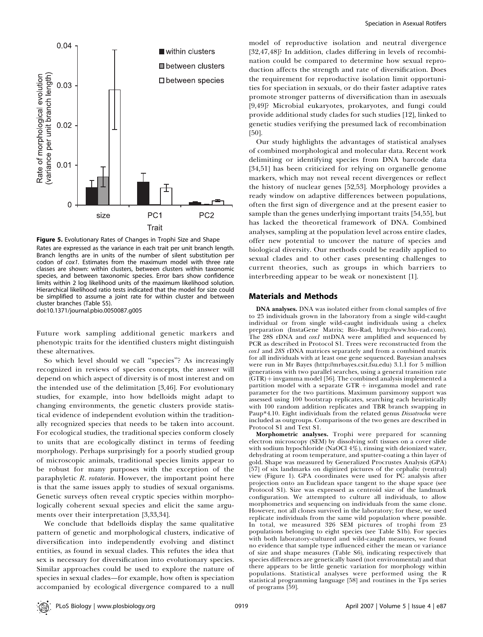

Figure 5. Evolutionary Rates of Changes in Trophi Size and Shape

Rates are expressed as the variance in each trait per unit branch length. Branch lengths are in units of the number of silent substitution per codon of cox1. Estimates from the maximum model with three rate classes are shown: within clusters, between clusters within taxonomic species, and between taxonomic species. Error bars show confidence limits within 2 log likelihood units of the maximum likelihood solution. Hierarchical likelihood ratio tests indicated that the model for size could be simplified to assume a joint rate for within cluster and between cluster branches (Table S5). doi:10.1371/journal.pbio.0050087.g005

Future work sampling additional genetic markers and phenotypic traits for the identified clusters might distinguish these alternatives.

So which level should we call ''species''? As increasingly recognized in reviews of species concepts, the answer will depend on which aspect of diversity is of most interest and on the intended use of the delimitation [3,46]. For evolutionary studies, for example, into how bdelloids might adapt to changing environments, the genetic clusters provide statistical evidence of independent evolution within the traditionally recognized species that needs to be taken into account. For ecological studies, the traditional species conform closely to units that are ecologically distinct in terms of feeding morphology. Perhaps surprisingly for a poorly studied group of microscopic animals, traditional species limits appear to be robust for many purposes with the exception of the paraphyletic R. rotatoria. However, the important point here is that the same issues apply to studies of sexual organisms. Genetic surveys often reveal cryptic species within morphologically coherent sexual species and elicit the same arguments over their interpretation [3,33,34].

We conclude that bdelloids display the same qualitative pattern of genetic and morphological clusters, indicative of diversification into independently evolving and distinct entities, as found in sexual clades. This refutes the idea that sex is necessary for diversification into evolutionary species. Similar approaches could be used to explore the nature of species in sexual clades—for example, how often is speciation accompanied by ecological divergence compared to a null

model of reproductive isolation and neutral divergence [32,47,48]? In addition, clades differing in levels of recombination could be compared to determine how sexual reproduction affects the strength and rate of diversification. Does the requirement for reproductive isolation limit opportunities for speciation in sexuals, or do their faster adaptive rates promote stronger patterns of diversification than in asexuals [9,49]? Microbial eukaryotes, prokaryotes, and fungi could provide additional study clades for such studies [12], linked to genetic studies verifying the presumed lack of recombination [50].

Our study highlights the advantages of statistical analyses of combined morphological and molecular data. Recent work delimiting or identifying species from DNA barcode data [34,51] has been criticized for relying on organelle genome markers, which may not reveal recent divergences or reflect the history of nuclear genes [52,53]. Morphology provides a ready window on adaptive differences between populations, often the first sign of divergence and at the present easier to sample than the genes underlying important traits [54,55], but has lacked the theoretical framework of DNA. Combined analyses, sampling at the population level across entire clades, offer new potential to uncover the nature of species and biological diversity. Our methods could be readily applied to sexual clades and to other cases presenting challenges to current theories, such as groups in which barriers to interbreeding appear to be weak or nonexistent [1].

#### Materials and Methods

DNA analyses. DNA was isolated either from clonal samples of five to 25 individuals grown in the laboratory from a single wild-caught individual or from single wild-caught individuals using a chelex preparation (InstaGene Matrix; Bio-Rad, http://www.bio-rad.com). The 28S rDNA and *cox1* mtDNA were amplified and sequenced by PCR as described in Protocol S1. Trees were reconstructed from the cox1 and 28S rDNA matrices separately and from a combined matrix for all individuals with at least one gene sequenced. Bayesian analyses were run in Mr Bayes (http://mrbayes.csit.fsu.edu) 3.1.1 for 5 million generations with two parallel searches, using a general transition rate  $(GTR)$  + invgamma model [56]. The combined analysis implemented a partition model with a separate  $GTR + invgamma$  model and rate parameter for the two partitions. Maximum parsimony support was assessed using 100 bootstrap replicates, searching each heuristically with 100 random addition replicates and TBR branch swapping in Paup\*4.10. Eight individuals from the related genus Dissotrocha were included as outgroups. Comparisons of the two genes are described in Protocol S1 and Text S1.

Morphometric analyses. Trophi were prepared for scanning electron microscopy (SEM) by dissolving soft tissues on a cover slide with sodium hypochloride (NaOCl 4%), rinsing with deionized water, dehydrating at room temperature, and sputter-coating a thin layer of gold. Shape was measured by Generalized Procrustes Analysis (GPA) [57] of six landmarks on digitized pictures of the cephalic (ventral) view (Figure 1). GPA coordinates were used for PC analysis after projection onto an Euclidean space tangent to the shape space (see Protocol S1). Size was expressed as centroid size of the landmark configuration. We attempted to culture all individuals, to allow morphometrics and sequencing on individuals from the same clone. However, not all clones survived in the laboratory; for these, we used replicate individuals from the same wild population where possible. In total, we measured 326 SEM pictures of trophi from 23 populations belonging to eight species (see Table S1b). For species with both laboratory-cultured and wild-caught measures, we found no evidence that sample type influenced either the mean or variance of size and shape measures (Table S6), indicating respectively that species differences are genetically based (not environmental) and that there appears to be little genetic variation for morphology within populations. Statistical analyses were performed using the R statistical programming language [58] and routines in the Tps series of programs [59].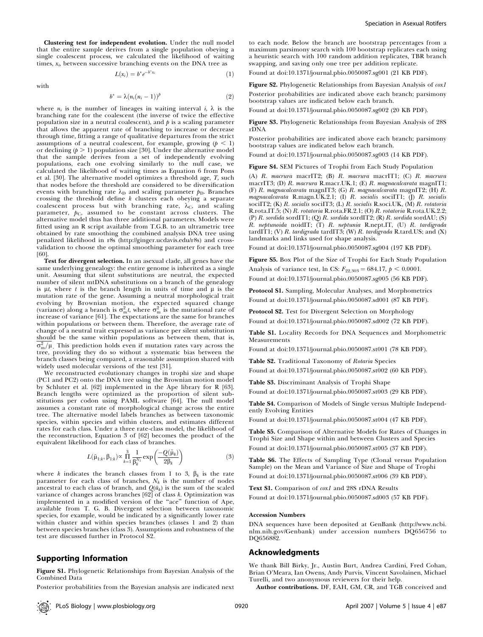Clustering test for independent evolution. Under the null model that the entire sample derives from a single population obeying a single coalescent process, we calculated the likelihood of waiting times,  $x_i$ , between successive branching events on the DNA tree as

$$
L(x_i) = b^* e^{-b^* x_i} \tag{1}
$$

with

$$
b^* = \lambda (n_i(n_i - 1))^p \tag{2}
$$

where  $n_i$  is the number of lineages in waiting interval i,  $\lambda$  is the branching rate for the coalescent (the inverse of twice the effective population size in a neutral coalescent), and  $p$  is a scaling parameter that allows the apparent rate of branching to increase or decrease through time, fitting a range of qualitative departures from the strict assumptions of a neutral coalescent, for example, growing  $(p < 1)$ or declining  $(p > 1)$  population size [30]. Under the alternative model that the sample derives from a set of independently evolving populations, each one evolving similarly to the null case, we calculated the likelihood of waiting times as Equation 6 from Pons et al. [30]. The alternative model optimizes a threshold age, T, such that nodes before the threshold are considered to be diversification events with branching rate  $\lambda_D$  and scaling parameter  $p_D$ . Branches crossing the threshold define k clusters each obeying a separate coalescent process but with branching rate,  $\lambda_c$ , and scaling parameter,  $p_{\text{C}}$ , assumed to be constant across clusters. The alternative model thus has three additional parameters. Models were fitted using an R script available from T.G.B. to an ultrametric tree obtained by rate smoothing the combined analysis DNA tree using penalized likelihood in r8s (http://ginger.ucdavis.edu/r8s) and crossvalidation to choose the optimal smoothing parameter for each tree [60].

Test for divergent selection. In an asexual clade, all genes have the same underlying genealogy: the entire genome is inherited as a single unit. Assuming that silent substitutions are neutral, the expected number of silent mtDNA substitutions on a branch of the genealogy is  $\mu t$ , where t is the branch length in units of time and  $\mu$  is the mutation rate of the gene. Assuming a neutral morphological trait evolving by Brownian motion, the expected squared change (variance) along a branch is  $\sigma_{m}^{2}t$ , where  $\sigma_{m}^{2}$  is the mutational rate of increase of variance [61]. The expectations are the same for branches within populations or between them. Therefore, the average rate of change of a neutral trait expressed as variance per silent substitution should be the same within populations as between them, that is, increa<br>within<br>change<br>should<br> $\frac{\text{should}}{\sigma_m^2/\mu}$ .  $\frac{2}{m}/\mu$ . This prediction holds even if mutation rates vary across the tree, providing they do so without a systematic bias between the branch classes being compared, a reasonable assumption shared with widely used molecular versions of the test [31].

We reconstructed evolutionary changes in trophi size and shape (PC1 and PC2) onto the DNA tree using the Brownian motion model by Schluter et al. [62] implemented in the Ape library for R [63]. Branch lengths were optimized as the proportion of silent substitutions per codon using PAML software [64]. The null model assumes a constant rate of morphological change across the entire tree. The alternative model labels branches as between taxonomic species, within species and within clusters, and estimates different rates for each class. Under a three rate-class model, the likelihood of the reconstruction, Equation 3 of [62] becomes the product of the equivalent likelihood for each class of branches.

$$
L(\tilde{\mu}_{1:k}, \beta_{1:k}) \propto \prod_{k=1}^{3} \frac{1}{\beta_k^{N_1}} \exp\left(\frac{-Q(\tilde{\mu}_k)}{2\beta_k}\right)
$$
(3)

where k indicates the branch classes from 1 to 3,  $\beta_k$  is the rate parameter for each class of branches,  $N_k$  is the number of nodes ancestral to each class of branch, and  $Q(\tilde{u}_k)$  is the sum of the scaled variance of changes across branches  $[62]$  of class k. Optimization was implemented in a modified version of the ''ace'' function of Ape, available from T. G. B. Divergent selection between taxonomic species, for example, would be indicated by a significantly lower rate within cluster and within species branches (classes 1 and 2) than between species branches (class 3). Assumptions and robustness of the test are discussed further in Protocol S2.

#### Supporting Information

Figure S1. Phylogenetic Relationships from Bayesian Analysis of the Combined Data

Posterior probabilities from the Bayesian analysis are indicated next

to each node. Below the branch are bootstrap percentages from a maximum parsimony search with 100 bootstrap replicates each using a heuristic search with 100 random addition replicates, TBR branch swapping, and saving only one tree per addition replicate.

Found at doi:10.1371/journal.pbio.0050087.sg001 (21 KB PDF).

Figure S2. Phylogenetic Relationships from Bayesian Analysis of cox1

Posterior probabilities are indicated above each branch; parsimony bootstrap values are indicated below each branch.

Found at doi:10.1371/journal.pbio.0050087.sg002 (20 KB PDF).

Figure S3. Phylogenetic Relationships from Bayesian Analysis of 28S rDNA

Posterior probabilities are indicated above each branch; parsimony bootstrap values are indicated below each branch.

Found at doi:10.1371/journal.pbio.0050087.sg003 (14 KB PDF).

Figure S4. SEM Pictures of Trophi from Each Study Population

(A) R. macrura macrIT2; (B) R. macrura macrIT1; (C) R. macrura macrIT3; (D) R. macrura R.macr.UK.1; (E) R. magnacalcarata magnIT1; (F) R. magnacalcarata magnIT3; (G) R. magnacalcarata magnIT2; (H) R. magnacalcarata R.magn.UK.2.1; (I) R. socialis sociIT1; (J) R. socialis sociIT2; (K) R. socialis sociIT3; (L) R. socialis R.soci.UK, (M) R. rotatoria R.rota.IT.5; (N) R. rotatoria R.rota.FR.2.1; (O) R. rotatoria R.rota.UK.2.2; (P) R. sordida sordIT1; (Q) R. sordida sordIT2; (R) R. sordida sordAU; (S) R. neptunoida noidIT; (T) R. neptunia R.nept.IT, (U) R. tardigrada tardIT1; (V) R. tardigrada tardIT3; (W) R. tardigrada R.tard.US; and  $(X)$ landmarks and links used for shape analysis.

Found at doi:10.1371/journal.pbio.0050087.sg004 (197 KB PDF).

Figure S5. Box Plot of the Size of Trophi for Each Study Population Analysis of variance test, ln CS:  $F_{22,303} = 684.17, p < 0.0001$ .

Found at doi:10.1371/journal.pbio.0050087.sg005 (56 KB PDF).

Protocol S1. Sampling, Molecular Analyses, and Morphometrics Found at doi:10.1371/journal.pbio.0050087.sd001 (87 KB PDF).

Protocol S2. Test for Divergent Selection on Morphology Found at doi:10.1371/journal.pbio.0050087.sd002 (72 KB PDF).

Table S1. Locality Records for DNA Sequences and Morphometric Measurements

Found at doi:10.1371/journal.pbio.0050087.st001 (78 KB PDF).

Table S2. Traditional Taxonomy of Rotaria Species

Found at doi:10.1371/journal.pbio.0050087.st002 (60 KB PDF).

Table S3. Discriminant Analysis of Trophi Shape Found at doi:10.1371/journal.pbio.0050087.st003 (29 KB PDF).

Table S4. Comparison of Models of Single versus Multiple Independently Evolving Entities

Found at doi:10.1371/journal.pbio.0050087.st004 (47 KB PDF).

Table S5. Comparison of Alternative Models for Rates of Changes in Trophi Size and Shape within and between Clusters and Species Found at doi:10.1371/journal.pbio.0050087.st005 (37 KB PDF).

Table S6. The Effects of Sampling Type (Clonal versus Population Sample) on the Mean and Variance of Size and Shape of Trophi Found at doi:10.1371/journal.pbio.0050087.st006 (39 KB PDF).

Text S1. Comparison of cox1 and 28S rDNA Results Found at doi:10.1371/journal.pbio.0050087.sd003 (57 KB PDF).

#### Accession Numbers

DNA sequences have been deposited at GenBank (http://www.ncbi. nlm.nih.gov/Genbank) under accession numbers DQ656756 to DQ656882.

#### Acknowledgments

We thank Bill Birky, Jr., Austin Burt, Andrea Cardini, Fred Cohan, Brian O'Meara, Ian Owens, Andy Purvis, Vincent Savolainen, Michael Turelli, and two anonymous reviewers for their help.

Author contributions. DF, EAH, GM, CR, and TGB conceived and